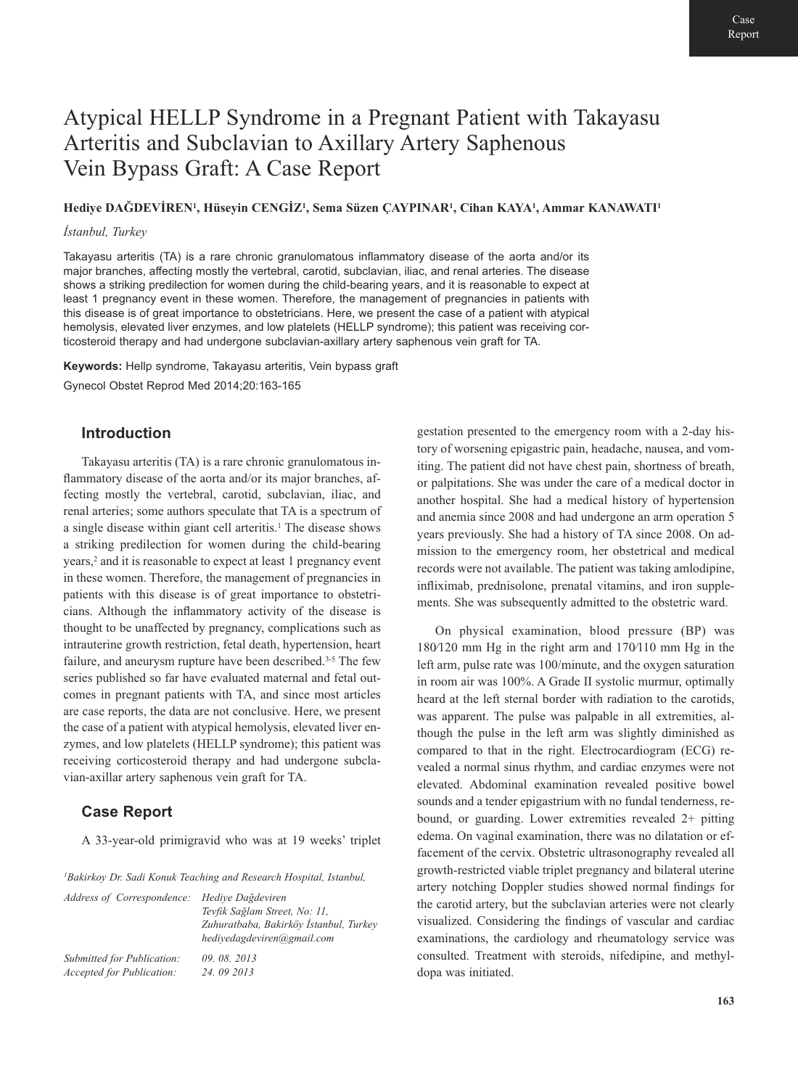# Atypical HELLP Syndrome in a Pregnant Patient with Takayasu Arteritis and Subclavian to Axillary Artery Saphenous Vein Bypass Graft: A Case Report

**Hediye DAĞDEVİREN1, Hüseyin CENGİZ1, Sema Süzen ÇAYPINAR1, Cihan KAYA1, Ammar KANAWATI1**

#### *İstanbul, Turkey*

Takayasu arteritis (TA) is a rare chronic granulomatous inflammatory disease of the aorta and/or its major branches, affecting mostly the vertebral, carotid, subclavian, iliac, and renal arteries. The disease shows a striking predilection for women during the child-bearing years, and it is reasonable to expect at least 1 pregnancy event in these women. Therefore, the management of pregnancies in patients with this disease is of great importance to obstetricians. Here, we present the case of a patient with atypical hemolysis, elevated liver enzymes, and low platelets (HELLP syndrome); this patient was receiving corticosteroid therapy and had undergone subclavian-axillary artery saphenous vein graft for TA.

**Keywords:** Hellp syndrome, Takayasu arteritis, Vein bypass graft Gynecol Obstet Reprod Med 2014;20:163-165

### **Introduction**

Takayasu arteritis (TA) is a rare chronic granulomatous inflammatory disease of the aorta and/or its major branches, affecting mostly the vertebral, carotid, subclavian, iliac, and renal arteries; some authors speculate that TA is a spectrum of a single disease within giant cell arteritis.<sup>1</sup> The disease shows a striking predilection for women during the child-bearing years,2 and it is reasonable to expect at least 1 pregnancy event in these women. Therefore, the management of pregnancies in patients with this disease is of great importance to obstetricians. Although the inflammatory activity of the disease is thought to be unaffected by pregnancy, complications such as intrauterine growth restriction, fetal death, hypertension, heart failure, and aneurysm rupture have been described.<sup>3-5</sup> The few series published so far have evaluated maternal and fetal outcomes in pregnant patients with TA, and since most articles are case reports, the data are not conclusive. Here, we present the case of a patient with atypical hemolysis, elevated liver enzymes, and low platelets (HELLP syndrome); this patient was receiving corticosteroid therapy and had undergone subclavian-axillar artery saphenous vein graft for TA.

#### **Case Report**

A 33-year-old primigravid who was at 19 weeks' triplet

*1Bakirkoy Dr. Sadi Konuk Teaching and Research Hospital, Istanbul,* 

| Address of Correspondence: Hediye Dağdeviren | Tevfik Sağlam Street, No: 11,<br>Zuhuratbaba, Bakirköy İstanbul, Turkey<br>hedivedagdeviren@gmail.com |
|----------------------------------------------|-------------------------------------------------------------------------------------------------------|
| Submitted for Publication:                   | 09.08.2013                                                                                            |
| <i>Accepted for Publication:</i>             | 24.09 2013                                                                                            |

gestation presented to the emergency room with a 2-day history of worsening epigastric pain, headache, nausea, and vomiting. The patient did not have chest pain, shortness of breath, or palpitations. She was under the care of a medical doctor in another hospital. She had a medical history of hypertension and anemia since 2008 and had undergone an arm operation 5 years previously. She had a history of TA since 2008. On admission to the emergency room, her obstetrical and medical records were not available. The patient was taking amlodipine, infliximab, prednisolone, prenatal vitamins, and iron supplements. She was subsequently admitted to the obstetric ward.

On physical examination, blood pressure (BP) was 180⁄120 mm Hg in the right arm and 170⁄110 mm Hg in the left arm, pulse rate was 100/minute, and the oxygen saturation in room air was 100%. A Grade II systolic murmur, optimally heard at the left sternal border with radiation to the carotids, was apparent. The pulse was palpable in all extremities, although the pulse in the left arm was slightly diminished as compared to that in the right. Electrocardiogram (ECG) revealed a normal sinus rhythm, and cardiac enzymes were not elevated. Abdominal examination revealed positive bowel sounds and a tender epigastrium with no fundal tenderness, rebound, or guarding. Lower extremities revealed 2+ pitting edema. On vaginal examination, there was no dilatation or effacement of the cervix. Obstetric ultrasonography revealed all growth-restricted viable triplet pregnancy and bilateral uterine artery notching Doppler studies showed normal findings for the carotid artery, but the subclavian arteries were not clearly visualized. Considering the findings of vascular and cardiac examinations, the cardiology and rheumatology service was consulted. Treatment with steroids, nifedipine, and methyldopa was initiated.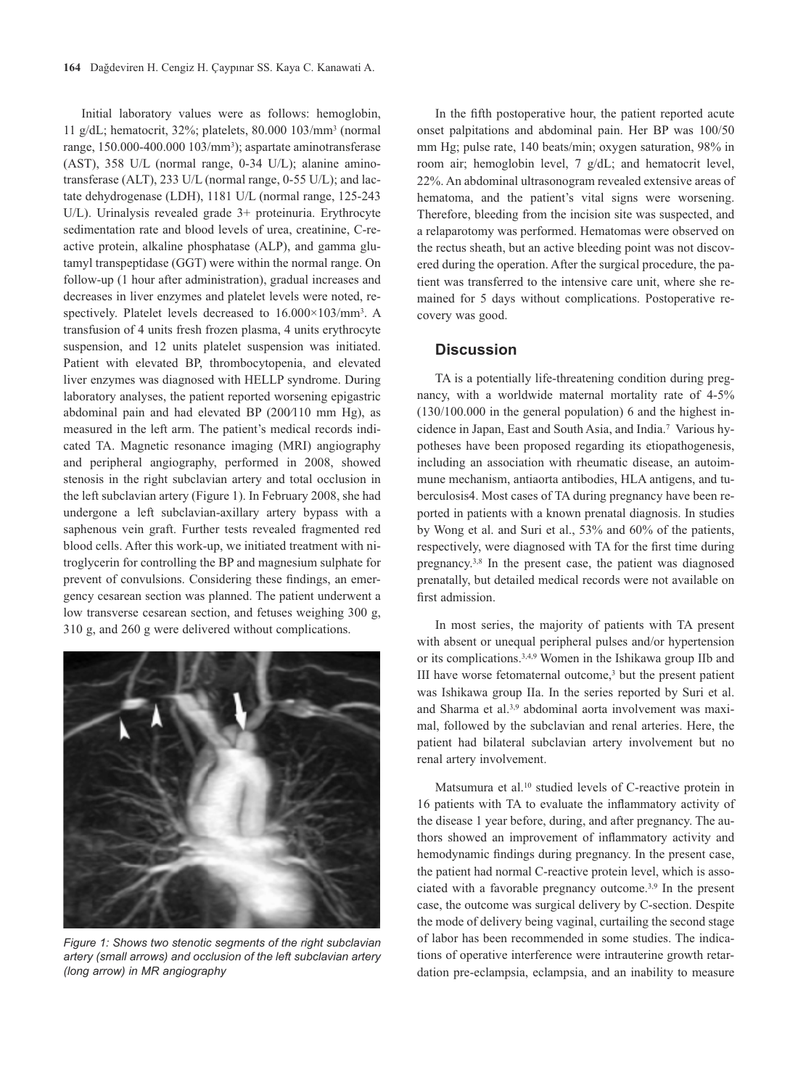Initial laboratory values were as follows: hemoglobin, 11 g/dL; hematocrit, 32%; platelets, 80.000 103/mm3 (normal range, 150.000-400.000 103/mm3); aspartate aminotransferase (AST), 358 U/L (normal range, 0-34 U/L); alanine aminotransferase (ALT), 233 U/L (normal range, 0-55 U/L); and lactate dehydrogenase (LDH), 1181 U/L (normal range, 125-243 U/L). Urinalysis revealed grade 3+ proteinuria. Erythrocyte sedimentation rate and blood levels of urea, creatinine, C-reactive protein, alkaline phosphatase (ALP), and gamma glutamyl transpeptidase (GGT) were within the normal range. On follow-up (1 hour after administration), gradual increases and decreases in liver enzymes and platelet levels were noted, respectively. Platelet levels decreased to 16.000×103/mm3. A transfusion of 4 units fresh frozen plasma, 4 units erythrocyte suspension, and 12 units platelet suspension was initiated. Patient with elevated BP, thrombocytopenia, and elevated liver enzymes was diagnosed with HELLP syndrome. During laboratory analyses, the patient reported worsening epigastric abdominal pain and had elevated BP (200⁄110 mm Hg), as measured in the left arm. The patient's medical records indicated TA. Magnetic resonance imaging (MRI) angiography and peripheral angiography, performed in 2008, showed stenosis in the right subclavian artery and total occlusion in the left subclavian artery (Figure 1). In February 2008, she had undergone a left subclavian-axillary artery bypass with a saphenous vein graft. Further tests revealed fragmented red blood cells. After this work-up, we initiated treatment with nitroglycerin for controlling the BP and magnesium sulphate for prevent of convulsions. Considering these findings, an emergency cesarean section was planned. The patient underwent a low transverse cesarean section, and fetuses weighing 300 g, 310 g, and 260 g were delivered without complications.



*Figure 1: Shows two stenotic segments of the right subclavian artery (small arrows) and occlusion of the left subclavian artery (long arrow) in MR angiography*

In the fifth postoperative hour, the patient reported acute onset palpitations and abdominal pain. Her BP was 100/50 mm Hg; pulse rate, 140 beats/min; oxygen saturation, 98% in room air; hemoglobin level, 7 g/dL; and hematocrit level, 22%. An abdominal ultrasonogram revealed extensive areas of hematoma, and the patient's vital signs were worsening. Therefore, bleeding from the incision site was suspected, and a relaparotomy was performed. Hematomas were observed on the rectus sheath, but an active bleeding point was not discovered during the operation. After the surgical procedure, the patient was transferred to the intensive care unit, where she remained for 5 days without complications. Postoperative recovery was good.

#### **Discussion**

TA is a potentially life-threatening condition during pregnancy, with a worldwide maternal mortality rate of 4-5% (130/100.000 in the general population) 6 and the highest incidence in Japan, East and South Asia, and India.7 Various hypotheses have been proposed regarding its etiopathogenesis, including an association with rheumatic disease, an autoimmune mechanism, antiaorta antibodies, HLA antigens, and tuberculosis4. Most cases of TA during pregnancy have been reported in patients with a known prenatal diagnosis. In studies by Wong et al. and Suri et al., 53% and 60% of the patients, respectively, were diagnosed with TA for the first time during pregnancy.3,8 In the present case, the patient was diagnosed prenatally, but detailed medical records were not available on first admission.

In most series, the majority of patients with TA present with absent or unequal peripheral pulses and/or hypertension or its complications.3,4,9 Women in the Ishikawa group IIb and III have worse fetomaternal outcome,3 but the present patient was Ishikawa group IIa. In the series reported by Suri et al. and Sharma et al.<sup>3,9</sup> abdominal aorta involvement was maximal, followed by the subclavian and renal arteries. Here, the patient had bilateral subclavian artery involvement but no renal artery involvement.

Matsumura et al.10 studied levels of C-reactive protein in 16 patients with TA to evaluate the inflammatory activity of the disease 1 year before, during, and after pregnancy. The authors showed an improvement of inflammatory activity and hemodynamic findings during pregnancy. In the present case, the patient had normal C-reactive protein level, which is associated with a favorable pregnancy outcome.3,9 In the present case, the outcome was surgical delivery by C-section. Despite the mode of delivery being vaginal, curtailing the second stage of labor has been recommended in some studies. The indications of operative interference were intrauterine growth retardation pre-eclampsia, eclampsia, and an inability to measure